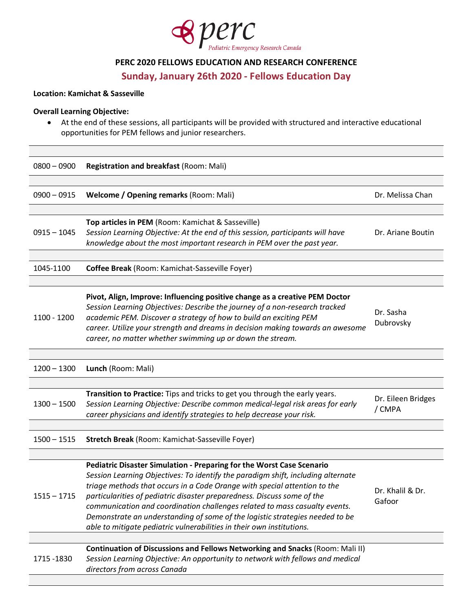

### **PERC 2020 FELLOWS EDUCATION AND RESEARCH CONFERENCE**

**Sunday, January 26th 2020 - Fellows Education Day**

### **Location: Kamichat & Sasseville**

#### **Overall Learning Objective:**

• At the end of these sessions, all participants will be provided with structured and interactive educational opportunities for PEM fellows and junior researchers.

| $0800 - 0900$ | <b>Registration and breakfast (Room: Mali)</b>                                                                                                                                                                                                                                                                                                                                                                                                                                                                                                           |                              |
|---------------|----------------------------------------------------------------------------------------------------------------------------------------------------------------------------------------------------------------------------------------------------------------------------------------------------------------------------------------------------------------------------------------------------------------------------------------------------------------------------------------------------------------------------------------------------------|------------------------------|
|               |                                                                                                                                                                                                                                                                                                                                                                                                                                                                                                                                                          |                              |
| $0900 - 0915$ | <b>Welcome / Opening remarks (Room: Mali)</b>                                                                                                                                                                                                                                                                                                                                                                                                                                                                                                            | Dr. Melissa Chan             |
|               |                                                                                                                                                                                                                                                                                                                                                                                                                                                                                                                                                          |                              |
| $0915 - 1045$ | Top articles in PEM (Room: Kamichat & Sasseville)<br>Session Learning Objective: At the end of this session, participants will have<br>knowledge about the most important research in PEM over the past year.                                                                                                                                                                                                                                                                                                                                            | Dr. Ariane Boutin            |
|               |                                                                                                                                                                                                                                                                                                                                                                                                                                                                                                                                                          |                              |
| 1045-1100     | Coffee Break (Room: Kamichat-Sasseville Foyer)                                                                                                                                                                                                                                                                                                                                                                                                                                                                                                           |                              |
|               |                                                                                                                                                                                                                                                                                                                                                                                                                                                                                                                                                          |                              |
| 1100 - 1200   | Pivot, Align, Improve: Influencing positive change as a creative PEM Doctor<br>Session Learning Objectives: Describe the journey of a non-research tracked<br>academic PEM. Discover a strategy of how to build an exciting PEM<br>career. Utilize your strength and dreams in decision making towards an awesome<br>career, no matter whether swimming up or down the stream.                                                                                                                                                                           | Dr. Sasha<br>Dubrovsky       |
|               |                                                                                                                                                                                                                                                                                                                                                                                                                                                                                                                                                          |                              |
| $1200 - 1300$ | Lunch (Room: Mali)                                                                                                                                                                                                                                                                                                                                                                                                                                                                                                                                       |                              |
|               |                                                                                                                                                                                                                                                                                                                                                                                                                                                                                                                                                          |                              |
| $1300 - 1500$ | Transition to Practice: Tips and tricks to get you through the early years.<br>Session Learning Objective: Describe common medical-legal risk areas for early<br>career physicians and identify strategies to help decrease your risk.                                                                                                                                                                                                                                                                                                                   | Dr. Eileen Bridges<br>/ CMPA |
|               |                                                                                                                                                                                                                                                                                                                                                                                                                                                                                                                                                          |                              |
| $1500 - 1515$ | Stretch Break (Room: Kamichat-Sasseville Foyer)                                                                                                                                                                                                                                                                                                                                                                                                                                                                                                          |                              |
|               |                                                                                                                                                                                                                                                                                                                                                                                                                                                                                                                                                          |                              |
| $1515 - 1715$ | Pediatric Disaster Simulation - Preparing for the Worst Case Scenario<br>Session Learning Objectives: To identify the paradigm shift, including alternate<br>triage methods that occurs in a Code Orange with special attention to the<br>particularities of pediatric disaster preparedness. Discuss some of the<br>communication and coordination challenges related to mass casualty events.<br>Demonstrate an understanding of some of the logistic strategies needed to be<br>able to mitigate pediatric vulnerabilities in their own institutions. | Dr. Khalil & Dr.<br>Gafoor   |
|               |                                                                                                                                                                                                                                                                                                                                                                                                                                                                                                                                                          |                              |
| 1715 - 1830   | Continuation of Discussions and Fellows Networking and Snacks (Room: Mali II)<br>Session Learning Objective: An opportunity to network with fellows and medical<br>directors from across Canada                                                                                                                                                                                                                                                                                                                                                          |                              |
|               |                                                                                                                                                                                                                                                                                                                                                                                                                                                                                                                                                          |                              |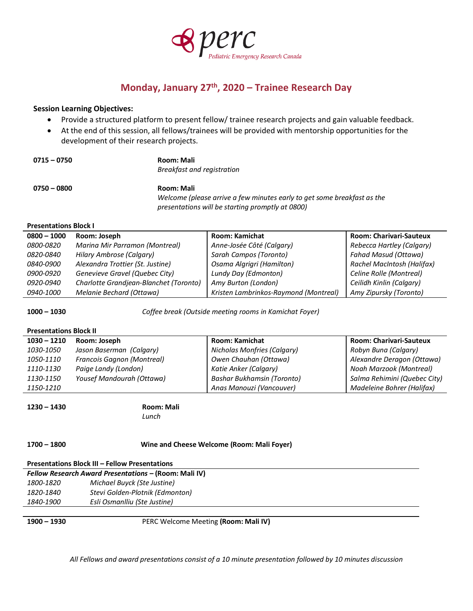

# **Monday, January 27th, 2020 – Trainee Research Day**

#### **Session Learning Objectives:**

- Provide a structured platform to present fellow/ trainee research projects and gain valuable feedback.
- At the end of this session, all fellows/trainees will be provided with mentorship opportunities for the development of their research projects.

| $0715 - 0750$ | <b>Room: Mali</b>                |
|---------------|----------------------------------|
|               | Breakfast and registration       |
| $0750 - 0800$ | <b>Room: Mali</b>                |
|               | $141 - 1 - 22 = 1 - 1 - 22 = 22$ |

*Welcome (please arrive a few minutes early to get some breakfast as the presentations will be starting promptly at 0800)*

#### **Presentations Block I**

| $0800 - 1000$    | Room: Joseph                           | <b>Room: Kamichat</b>                 | <b>Room: Charivari-Sauteux</b> |
|------------------|----------------------------------------|---------------------------------------|--------------------------------|
| <i>0800-0820</i> | Marina Mir Parramon (Montreal)         | Anne-Josée Côté (Calgary)             | Rebecca Hartley (Calgary)      |
| <i>0820-0840</i> | <b>Hilary Ambrose (Calgary)</b>        | Sarah Campos (Toronto)                | <b>Fahad Masud (Ottawa)</b>    |
| <i>0840-0900</i> | Alexandra Trottier (St. Justine)       | Osama Algrigri (Hamilton)             | Rachel MacIntosh (Halifax)     |
| 0900-0920        | Genevieve Gravel (Quebec City)         | Lundy Day (Edmonton)                  | Celine Rolle (Montreal)        |
| <i>0920-0940</i> | Charlotte Grandjean-Blanchet (Toronto) | Amy Burton (London)                   | Ceilidh Kinlin (Calgary)       |
| 0940-1000        | Melanie Bechard (Ottawa)               | Kristen Lambrinkos-Raymond (Montreal) | Amy Zipursky (Toronto)         |

**1000 – 1030** *Coffee break (Outside meeting rooms in Kamichat Foyer)*

#### **Presentations Block II**

| $1030 - 1210$ | Room: Joseph               | Room: Kamichat                    | <b>Room: Charivari-Sauteux</b> |
|---------------|----------------------------|-----------------------------------|--------------------------------|
| 1030-1050     | Jason Baserman (Calgary)   | Nicholas Monfries (Calgary)       | Robyn Buna (Calgary)           |
| 1050-1110     | Francois Gagnon (Montreal) | Owen Chauhan (Ottawa)             | Alexandre Deragon (Ottawa)     |
| 1110-1130     | Paige Landy (London)       | Katie Anker (Calgary)             | Noah Marzook (Montreal)        |
| 1130-1150     | Yousef Mandourah (Ottawa)  | <b>Bashar Bukhamsin (Toronto)</b> | Salma Rehimini (Quebec City)   |
| 1150-1210     |                            | Anas Manouzi (Vancouver)          | Madeleine Bohrer (Halifax)     |

**1230 – 1430 Room: Mali** 

# *Lunch*

#### **1700 – 1800 Wine and Cheese Welcome (Room: Mali Foyer)**

#### **Presentations Block III – Fellow Presentations**

|           | Fellow Research Award Presentations - (Room: Mali IV) |
|-----------|-------------------------------------------------------|
| 1800-1820 | Michael Buyck (Ste Justine)                           |
| 1820-1840 | Stevi Golden-Plotnik (Edmonton)                       |
| 1840-1900 | Esli Osmanlliu (Ste Justine)                          |

**1900 – 1930** PERC Welcome Meeting **(Room: Mali IV)**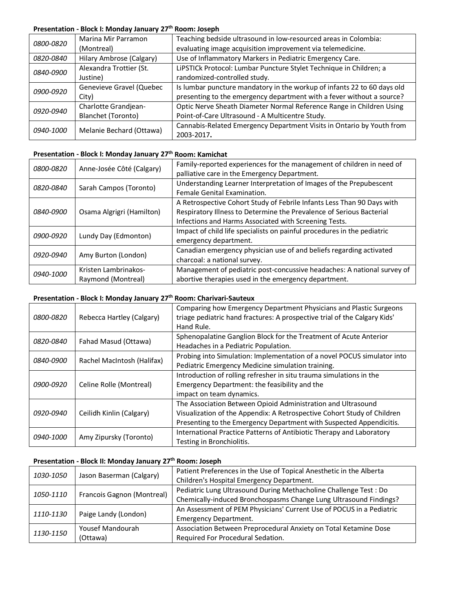### **Presentation - Block I: Monday January 27th Room: Joseph**

| <i>0800-0820</i> | Marina Mir Parramon      | Teaching bedside ultrasound in low-resourced areas in Colombia:         |
|------------------|--------------------------|-------------------------------------------------------------------------|
|                  | (Montreal)               | evaluating image acquisition improvement via telemedicine.              |
| <i>0820-0840</i> | Hilary Ambrose (Calgary) | Use of Inflammatory Markers in Pediatric Emergency Care.                |
| 0840-0900        | Alexandra Trottier (St.  | LiPSTICk Protocol: Lumbar Puncture Stylet Technique in Children; a      |
|                  | Justine)                 | randomized-controlled study.                                            |
| 0900-0920        | Genevieve Gravel (Quebec | Is lumbar puncture mandatory in the workup of infants 22 to 60 days old |
|                  | City)                    | presenting to the emergency department with a fever without a source?   |
| 0920-0940        | Charlotte Grandjean-     | Optic Nerve Sheath Diameter Normal Reference Range in Children Using    |
|                  | Blanchet (Toronto)       | Point-of-Care Ultrasound - A Multicentre Study.                         |
| 0940-1000        |                          | Cannabis-Related Emergency Department Visits in Ontario by Youth from   |
|                  | Melanie Bechard (Ottawa) | 2003-2017.                                                              |

### **Presentation - Block I: Monday January 27th Room: Kamichat**

| <i>0800-0820</i> | Anne-Josée Côté (Calgary)                  | Family-reported experiences for the management of children in need of<br>palliative care in the Emergency Department.                                                                                   |
|------------------|--------------------------------------------|---------------------------------------------------------------------------------------------------------------------------------------------------------------------------------------------------------|
| 0820-0840        | Sarah Campos (Toronto)                     | Understanding Learner Interpretation of Images of the Prepubescent<br>Female Genital Examination.                                                                                                       |
| <i>0840-0900</i> | Osama Algrigri (Hamilton)                  | A Retrospective Cohort Study of Febrile Infants Less Than 90 Days with<br>Respiratory Illness to Determine the Prevalence of Serious Bacterial<br>Infections and Harms Associated with Screening Tests. |
| <i>0900-0920</i> | Lundy Day (Edmonton)                       | Impact of child life specialists on painful procedures in the pediatric<br>emergency department.                                                                                                        |
| 0920-0940        | Amy Burton (London)                        | Canadian emergency physician use of and beliefs regarding activated<br>charcoal: a national survey.                                                                                                     |
| 0940-1000        | Kristen Lambrinakos-<br>Raymond (Montreal) | Management of pediatric post-concussive headaches: A national survey of<br>abortive therapies used in the emergency department.                                                                         |

### **Presentation - Block I: Monday January 27th Room: Charivari-Sauteux**

| <i>0800-0820</i> | Rebecca Hartley (Calgary)  | Comparing how Emergency Department Physicians and Plastic Surgeons<br>triage pediatric hand fractures: A prospective trial of the Calgary Kids'<br>Hand Rule. |
|------------------|----------------------------|---------------------------------------------------------------------------------------------------------------------------------------------------------------|
| 0820-0840        | Fahad Masud (Ottawa)       | Sphenopalatine Ganglion Block for the Treatment of Acute Anterior                                                                                             |
|                  |                            | Headaches in a Pediatric Population.                                                                                                                          |
| <i>0840-0900</i> | Rachel MacIntosh (Halifax) | Probing into Simulation: Implementation of a novel POCUS simulator into                                                                                       |
|                  |                            | Pediatric Emergency Medicine simulation training.                                                                                                             |
|                  | Celine Rolle (Montreal)    | Introduction of rolling refresher in situ trauma simulations in the                                                                                           |
| <i>0900-0920</i> |                            | Emergency Department: the feasibility and the                                                                                                                 |
|                  |                            | impact on team dynamics.                                                                                                                                      |
|                  | Ceilidh Kinlin (Calgary)   | The Association Between Opioid Administration and Ultrasound                                                                                                  |
| <i>0920-0940</i> |                            | Visualization of the Appendix: A Retrospective Cohort Study of Children                                                                                       |
|                  |                            | Presenting to the Emergency Department with Suspected Appendicitis.                                                                                           |
| 0940-1000        | Amy Zipursky (Toronto)     | International Practice Patterns of Antibiotic Therapy and Laboratory                                                                                          |
|                  |                            | Testing in Bronchiolitis.                                                                                                                                     |

# **Presentation - Block II: Monday January 27th Room: Joseph**

| 1030-1050 | Jason Baserman (Calgary)   | Patient Preferences in the Use of Topical Anesthetic in the Alberta<br>Children's Hospital Emergency Department. |
|-----------|----------------------------|------------------------------------------------------------------------------------------------------------------|
| 1050-1110 | Francois Gagnon (Montreal) | Pediatric Lung Ultrasound During Methacholine Challenge Test: Do                                                 |
|           |                            | Chemically-induced Bronchospasms Change Lung Ultrasound Findings?                                                |
| 1110-1130 | Paige Landy (London)       | An Assessment of PEM Physicians' Current Use of POCUS in a Pediatric                                             |
|           |                            | <b>Emergency Department.</b>                                                                                     |
| 1130-1150 | Yousef Mandourah           | Association Between Preprocedural Anxiety on Total Ketamine Dose                                                 |
|           | (Ottawa)                   | Required For Procedural Sedation.                                                                                |